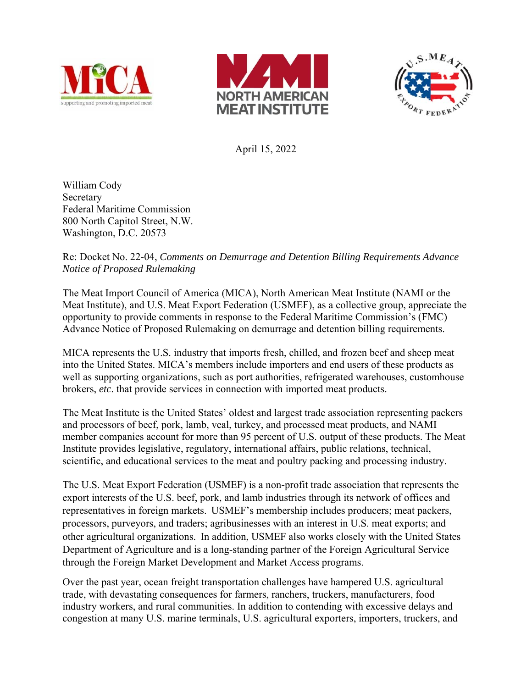





April 15, 2022

William Cody Secretary Federal Maritime Commission 800 North Capitol Street, N.W. Washington, D.C. 20573

#### Re: Docket No. 22-04, *Comments on Demurrage and Detention Billing Requirements Advance Notice of Proposed Rulemaking*

The Meat Import Council of America (MICA), North American Meat Institute (NAMI or the Meat Institute), and U.S. Meat Export Federation (USMEF), as a collective group, appreciate the opportunity to provide comments in response to the Federal Maritime Commission's (FMC) Advance Notice of Proposed Rulemaking on demurrage and detention billing requirements.

MICA represents the U.S. industry that imports fresh, chilled, and frozen beef and sheep meat into the United States. MICA's members include importers and end users of these products as well as supporting organizations, such as port authorities, refrigerated warehouses, customhouse brokers, *etc*. that provide services in connection with imported meat products.

The Meat Institute is the United States' oldest and largest trade association representing packers and processors of beef, pork, lamb, veal, turkey, and processed meat products, and NAMI member companies account for more than 95 percent of U.S. output of these products. The Meat Institute provides legislative, regulatory, international affairs, public relations, technical, scientific, and educational services to the meat and poultry packing and processing industry.

The U.S. Meat Export Federation (USMEF) is a non-profit trade association that represents the export interests of the U.S. beef, pork, and lamb industries through its network of offices and representatives in foreign markets.  USMEF's membership includes producers; meat packers, processors, purveyors, and traders; agribusinesses with an interest in U.S. meat exports; and other agricultural organizations.  In addition, USMEF also works closely with the United States Department of Agriculture and is a long-standing partner of the Foreign Agricultural Service through the Foreign Market Development and Market Access programs.

Over the past year, ocean freight transportation challenges have hampered U.S. agricultural trade, with devastating consequences for farmers, ranchers, truckers, manufacturers, food industry workers, and rural communities. In addition to contending with excessive delays and congestion at many U.S. marine terminals, U.S. agricultural exporters, importers, truckers, and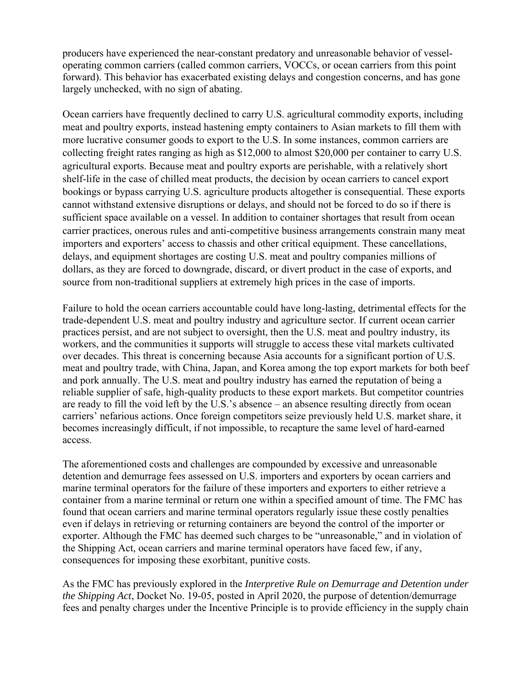producers have experienced the near-constant predatory and unreasonable behavior of vesseloperating common carriers (called common carriers, VOCCs, or ocean carriers from this point forward). This behavior has exacerbated existing delays and congestion concerns, and has gone largely unchecked, with no sign of abating.

Ocean carriers have frequently declined to carry U.S. agricultural commodity exports, including meat and poultry exports, instead hastening empty containers to Asian markets to fill them with more lucrative consumer goods to export to the U.S. In some instances, common carriers are collecting freight rates ranging as high as \$12,000 to almost \$20,000 per container to carry U.S. agricultural exports. Because meat and poultry exports are perishable, with a relatively short shelf-life in the case of chilled meat products, the decision by ocean carriers to cancel export bookings or bypass carrying U.S. agriculture products altogether is consequential. These exports cannot withstand extensive disruptions or delays, and should not be forced to do so if there is sufficient space available on a vessel. In addition to container shortages that result from ocean carrier practices, onerous rules and anti-competitive business arrangements constrain many meat importers and exporters' access to chassis and other critical equipment. These cancellations, delays, and equipment shortages are costing U.S. meat and poultry companies millions of dollars, as they are forced to downgrade, discard, or divert product in the case of exports, and source from non-traditional suppliers at extremely high prices in the case of imports.

Failure to hold the ocean carriers accountable could have long-lasting, detrimental effects for the trade-dependent U.S. meat and poultry industry and agriculture sector. If current ocean carrier practices persist, and are not subject to oversight, then the U.S. meat and poultry industry, its workers, and the communities it supports will struggle to access these vital markets cultivated over decades. This threat is concerning because Asia accounts for a significant portion of U.S. meat and poultry trade, with China, Japan, and Korea among the top export markets for both beef and pork annually. The U.S. meat and poultry industry has earned the reputation of being a reliable supplier of safe, high-quality products to these export markets. But competitor countries are ready to fill the void left by the U.S.'s absence – an absence resulting directly from ocean carriers' nefarious actions. Once foreign competitors seize previously held U.S. market share, it becomes increasingly difficult, if not impossible, to recapture the same level of hard-earned access.

The aforementioned costs and challenges are compounded by excessive and unreasonable detention and demurrage fees assessed on U.S. importers and exporters by ocean carriers and marine terminal operators for the failure of these importers and exporters to either retrieve a container from a marine terminal or return one within a specified amount of time. The FMC has found that ocean carriers and marine terminal operators regularly issue these costly penalties even if delays in retrieving or returning containers are beyond the control of the importer or exporter. Although the FMC has deemed such charges to be "unreasonable," and in violation of the Shipping Act, ocean carriers and marine terminal operators have faced few, if any, consequences for imposing these exorbitant, punitive costs.

As the FMC has previously explored in the *Interpretive Rule on Demurrage and Detention under the Shipping Act*, Docket No. 19-05, posted in April 2020, the purpose of detention/demurrage fees and penalty charges under the Incentive Principle is to provide efficiency in the supply chain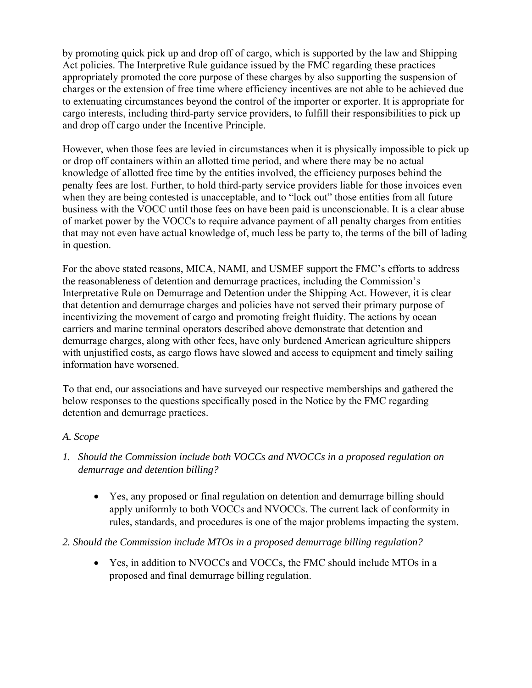by promoting quick pick up and drop off of cargo, which is supported by the law and Shipping Act policies. The Interpretive Rule guidance issued by the FMC regarding these practices appropriately promoted the core purpose of these charges by also supporting the suspension of charges or the extension of free time where efficiency incentives are not able to be achieved due to extenuating circumstances beyond the control of the importer or exporter. It is appropriate for cargo interests, including third-party service providers, to fulfill their responsibilities to pick up and drop off cargo under the Incentive Principle.

However, when those fees are levied in circumstances when it is physically impossible to pick up or drop off containers within an allotted time period, and where there may be no actual knowledge of allotted free time by the entities involved, the efficiency purposes behind the penalty fees are lost. Further, to hold third-party service providers liable for those invoices even when they are being contested is unacceptable, and to "lock out" those entities from all future business with the VOCC until those fees on have been paid is unconscionable. It is a clear abuse of market power by the VOCCs to require advance payment of all penalty charges from entities that may not even have actual knowledge of, much less be party to, the terms of the bill of lading in question.

For the above stated reasons, MICA, NAMI, and USMEF support the FMC's efforts to address the reasonableness of detention and demurrage practices, including the Commission's Interpretative Rule on Demurrage and Detention under the Shipping Act. However, it is clear that detention and demurrage charges and policies have not served their primary purpose of incentivizing the movement of cargo and promoting freight fluidity. The actions by ocean carriers and marine terminal operators described above demonstrate that detention and demurrage charges, along with other fees, have only burdened American agriculture shippers with unjustified costs, as cargo flows have slowed and access to equipment and timely sailing information have worsened.

To that end, our associations and have surveyed our respective memberships and gathered the below responses to the questions specifically posed in the Notice by the FMC regarding detention and demurrage practices.

#### *A. Scope*

- *1. Should the Commission include both VOCCs and NVOCCs in a proposed regulation on demurrage and detention billing?* 
	- Yes, any proposed or final regulation on detention and demurrage billing should apply uniformly to both VOCCs and NVOCCs. The current lack of conformity in rules, standards, and procedures is one of the major problems impacting the system.
- *2. Should the Commission include MTOs in a proposed demurrage billing regulation?* 
	- Yes, in addition to NVOCCs and VOCCs, the FMC should include MTOs in a proposed and final demurrage billing regulation.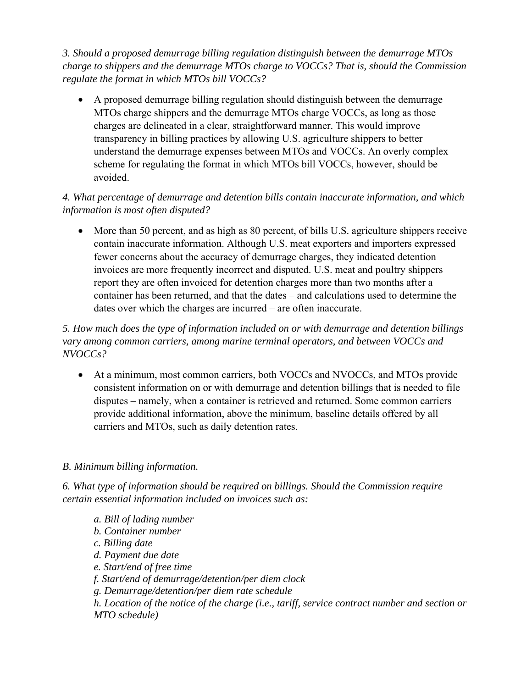*3. Should a proposed demurrage billing regulation distinguish between the demurrage MTOs charge to shippers and the demurrage MTOs charge to VOCCs? That is, should the Commission regulate the format in which MTOs bill VOCCs?* 

 A proposed demurrage billing regulation should distinguish between the demurrage MTOs charge shippers and the demurrage MTOs charge VOCCs, as long as those charges are delineated in a clear, straightforward manner. This would improve transparency in billing practices by allowing U.S. agriculture shippers to better understand the demurrage expenses between MTOs and VOCCs. An overly complex scheme for regulating the format in which MTOs bill VOCCs, however, should be avoided.

### *4. What percentage of demurrage and detention bills contain inaccurate information, and which information is most often disputed?*

 More than 50 percent, and as high as 80 percent, of bills U.S. agriculture shippers receive contain inaccurate information. Although U.S. meat exporters and importers expressed fewer concerns about the accuracy of demurrage charges, they indicated detention invoices are more frequently incorrect and disputed. U.S. meat and poultry shippers report they are often invoiced for detention charges more than two months after a container has been returned, and that the dates – and calculations used to determine the dates over which the charges are incurred – are often inaccurate.

*5. How much does the type of information included on or with demurrage and detention billings vary among common carriers, among marine terminal operators, and between VOCCs and NVOCCs?* 

 At a minimum, most common carriers, both VOCCs and NVOCCs, and MTOs provide consistent information on or with demurrage and detention billings that is needed to file disputes – namely, when a container is retrieved and returned. Some common carriers provide additional information, above the minimum, baseline details offered by all carriers and MTOs, such as daily detention rates.

#### *B. Minimum billing information.*

*6. What type of information should be required on billings. Should the Commission require certain essential information included on invoices such as:* 

*a. Bill of lading number b. Container number c. Billing date d. Payment due date e. Start/end of free time f. Start/end of demurrage/detention/per diem clock g. Demurrage/detention/per diem rate schedule h. Location of the notice of the charge (i.e., tariff, service contract number and section or MTO schedule)*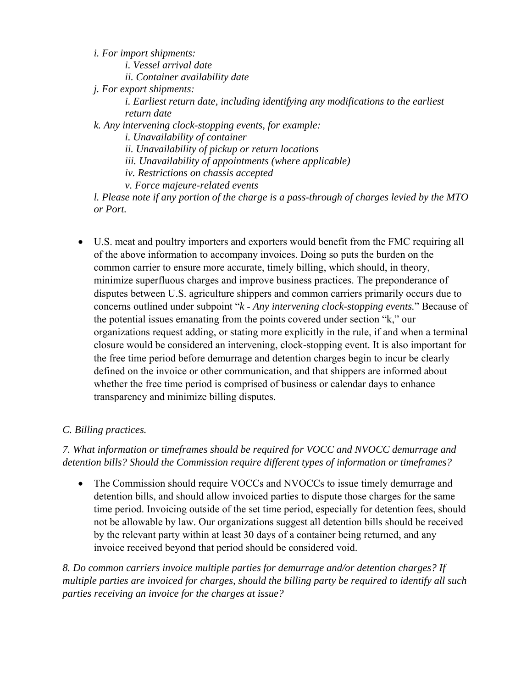*i. For import shipments:* 

*i. Vessel arrival date* 

*ii. Container availability date* 

*j. For export shipments:* 

*i. Earliest return date, including identifying any modifications to the earliest return date* 

*k. Any intervening clock-stopping events, for example:* 

*i. Unavailability of container* 

*ii. Unavailability of pickup or return locations* 

*iii. Unavailability of appointments (where applicable)* 

*iv. Restrictions on chassis accepted* 

*v. Force majeure-related events* 

*l. Please note if any portion of the charge is a pass-through of charges levied by the MTO or Port.* 

 U.S. meat and poultry importers and exporters would benefit from the FMC requiring all of the above information to accompany invoices. Doing so puts the burden on the common carrier to ensure more accurate, timely billing, which should, in theory, minimize superfluous charges and improve business practices. The preponderance of disputes between U.S. agriculture shippers and common carriers primarily occurs due to concerns outlined under subpoint "*k* - *Any intervening clock-stopping events.*" Because of the potential issues emanating from the points covered under section "k," our organizations request adding, or stating more explicitly in the rule, if and when a terminal closure would be considered an intervening, clock-stopping event. It is also important for the free time period before demurrage and detention charges begin to incur be clearly defined on the invoice or other communication, and that shippers are informed about whether the free time period is comprised of business or calendar days to enhance transparency and minimize billing disputes.

# *C. Billing practices.*

*7. What information or timeframes should be required for VOCC and NVOCC demurrage and detention bills? Should the Commission require different types of information or timeframes?* 

 The Commission should require VOCCs and NVOCCs to issue timely demurrage and detention bills, and should allow invoiced parties to dispute those charges for the same time period. Invoicing outside of the set time period, especially for detention fees, should not be allowable by law. Our organizations suggest all detention bills should be received by the relevant party within at least 30 days of a container being returned, and any invoice received beyond that period should be considered void.

*8. Do common carriers invoice multiple parties for demurrage and/or detention charges? If multiple parties are invoiced for charges, should the billing party be required to identify all such parties receiving an invoice for the charges at issue?*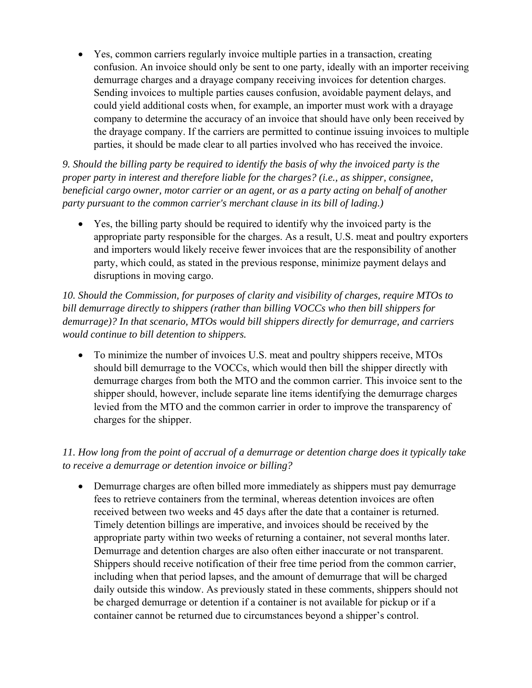Yes, common carriers regularly invoice multiple parties in a transaction, creating confusion. An invoice should only be sent to one party, ideally with an importer receiving demurrage charges and a drayage company receiving invoices for detention charges. Sending invoices to multiple parties causes confusion, avoidable payment delays, and could yield additional costs when, for example, an importer must work with a drayage company to determine the accuracy of an invoice that should have only been received by the drayage company. If the carriers are permitted to continue issuing invoices to multiple parties, it should be made clear to all parties involved who has received the invoice.

*9. Should the billing party be required to identify the basis of why the invoiced party is the proper party in interest and therefore liable for the charges? (i.e., as shipper, consignee, beneficial cargo owner, motor carrier or an agent, or as a party acting on behalf of another party pursuant to the common carrier's merchant clause in its bill of lading.)* 

 Yes, the billing party should be required to identify why the invoiced party is the appropriate party responsible for the charges. As a result, U.S. meat and poultry exporters and importers would likely receive fewer invoices that are the responsibility of another party, which could, as stated in the previous response, minimize payment delays and disruptions in moving cargo.

*10. Should the Commission, for purposes of clarity and visibility of charges, require MTOs to bill demurrage directly to shippers (rather than billing VOCCs who then bill shippers for demurrage)? In that scenario, MTOs would bill shippers directly for demurrage, and carriers would continue to bill detention to shippers.* 

• To minimize the number of invoices U.S. meat and poultry shippers receive, MTOs should bill demurrage to the VOCCs, which would then bill the shipper directly with demurrage charges from both the MTO and the common carrier. This invoice sent to the shipper should, however, include separate line items identifying the demurrage charges levied from the MTO and the common carrier in order to improve the transparency of charges for the shipper.

# *11. How long from the point of accrual of a demurrage or detention charge does it typically take to receive a demurrage or detention invoice or billing?*

 Demurrage charges are often billed more immediately as shippers must pay demurrage fees to retrieve containers from the terminal, whereas detention invoices are often received between two weeks and 45 days after the date that a container is returned. Timely detention billings are imperative, and invoices should be received by the appropriate party within two weeks of returning a container, not several months later. Demurrage and detention charges are also often either inaccurate or not transparent. Shippers should receive notification of their free time period from the common carrier, including when that period lapses, and the amount of demurrage that will be charged daily outside this window. As previously stated in these comments, shippers should not be charged demurrage or detention if a container is not available for pickup or if a container cannot be returned due to circumstances beyond a shipper's control.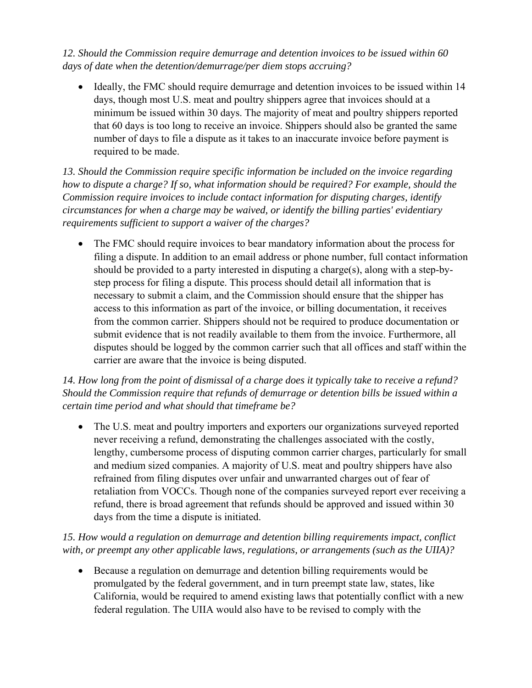*12. Should the Commission require demurrage and detention invoices to be issued within 60 days of date when the detention/demurrage/per diem stops accruing?* 

• Ideally, the FMC should require demurrage and detention invoices to be issued within 14 days, though most U.S. meat and poultry shippers agree that invoices should at a minimum be issued within 30 days. The majority of meat and poultry shippers reported that 60 days is too long to receive an invoice. Shippers should also be granted the same number of days to file a dispute as it takes to an inaccurate invoice before payment is required to be made.

*13. Should the Commission require specific information be included on the invoice regarding how to dispute a charge? If so, what information should be required? For example, should the Commission require invoices to include contact information for disputing charges, identify circumstances for when a charge may be waived, or identify the billing parties' evidentiary requirements sufficient to support a waiver of the charges?* 

• The FMC should require invoices to bear mandatory information about the process for filing a dispute. In addition to an email address or phone number, full contact information should be provided to a party interested in disputing a charge(s), along with a step-bystep process for filing a dispute. This process should detail all information that is necessary to submit a claim, and the Commission should ensure that the shipper has access to this information as part of the invoice, or billing documentation, it receives from the common carrier. Shippers should not be required to produce documentation or submit evidence that is not readily available to them from the invoice. Furthermore, all disputes should be logged by the common carrier such that all offices and staff within the carrier are aware that the invoice is being disputed.

### *14. How long from the point of dismissal of a charge does it typically take to receive a refund? Should the Commission require that refunds of demurrage or detention bills be issued within a certain time period and what should that timeframe be?*

• The U.S. meat and poultry importers and exporters our organizations surveyed reported never receiving a refund, demonstrating the challenges associated with the costly, lengthy, cumbersome process of disputing common carrier charges, particularly for small and medium sized companies. A majority of U.S. meat and poultry shippers have also refrained from filing disputes over unfair and unwarranted charges out of fear of retaliation from VOCCs. Though none of the companies surveyed report ever receiving a refund, there is broad agreement that refunds should be approved and issued within 30 days from the time a dispute is initiated.

# *15. How would a regulation on demurrage and detention billing requirements impact, conflict with, or preempt any other applicable laws, regulations, or arrangements (such as the UIIA)?*

 Because a regulation on demurrage and detention billing requirements would be promulgated by the federal government, and in turn preempt state law, states, like California, would be required to amend existing laws that potentially conflict with a new federal regulation. The UIIA would also have to be revised to comply with the